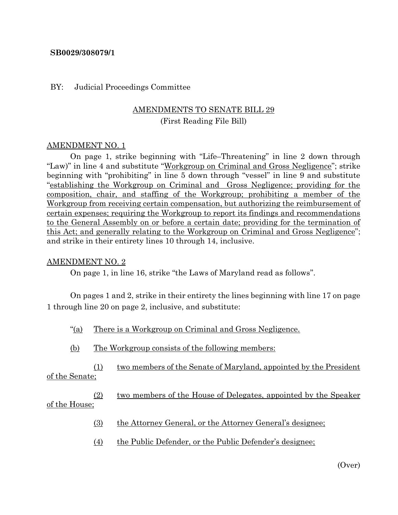### **SB0029/308079/1**

#### BY: Judicial Proceedings Committee

# AMENDMENTS TO SENATE BILL 29 (First Reading File Bill)

### AMENDMENT NO. 1

On page 1, strike beginning with "Life–Threatening" in line 2 down through "Law)" in line 4 and substitute "Workgroup on Criminal and Gross Negligence"; strike beginning with "prohibiting" in line 5 down through "vessel" in line 9 and substitute "establishing the Workgroup on Criminal and Gross Negligence; providing for the composition, chair, and staffing of the Workgroup; prohibiting a member of the Workgroup from receiving certain compensation, but authorizing the reimbursement of certain expenses; requiring the Workgroup to report its findings and recommendations to the General Assembly on or before a certain date; providing for the termination of this Act; and generally relating to the Workgroup on Criminal and Gross Negligence"; and strike in their entirety lines 10 through 14, inclusive.

#### AMENDMENT NO. 2

On page 1, in line 16, strike "the Laws of Maryland read as follows".

On pages 1 and 2, strike in their entirety the lines beginning with line 17 on page 1 through line 20 on page 2, inclusive, and substitute:

- "(a) There is a Workgroup on Criminal and Gross Negligence.
- (b) The Workgroup consists of the following members:

(1) two members of the Senate of Maryland, appointed by the President of the Senate;

(2) two members of the House of Delegates, appointed by the Speaker of the House;

- (3) the Attorney General, or the Attorney General's designee;
- (4) the Public Defender, or the Public Defender's designee;

(Over)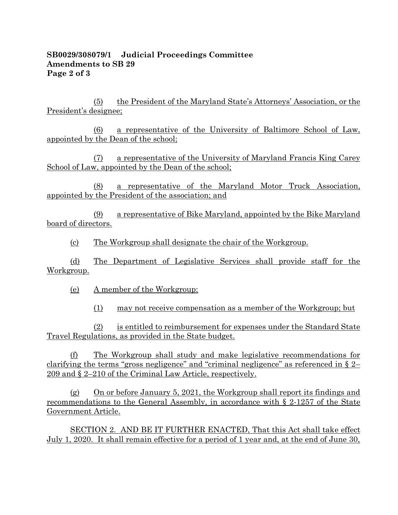## **SB0029/308079/1 Judicial Proceedings Committee Amendments to SB 29 Page 2 of 3**

(5) the President of the Maryland State's Attorneys' Association, or the President's designee;

(6) a representative of the University of Baltimore School of Law, appointed by the Dean of the school;

(7) a representative of the University of Maryland Francis King Carey School of Law, appointed by the Dean of the school;

(8) a representative of the Maryland Motor Truck Association, appointed by the President of the association; and

(9) a representative of Bike Maryland, appointed by the Bike Maryland board of directors.

(c) The Workgroup shall designate the chair of the Workgroup.

(d) The Department of Legislative Services shall provide staff for the Workgroup.

(e) A member of the Workgroup:

(1) may not receive compensation as a member of the Workgroup; but

(2) is entitled to reimbursement for expenses under the Standard State Travel Regulations, as provided in the State budget.

(f) The Workgroup shall study and make legislative recommendations for clarifying the terms "gross negligence" and "criminal negligence" as referenced in § 2– 209 and § 2–210 of the Criminal Law Article, respectively.

(g) On or before January 5, 2021, the Workgroup shall report its findings and recommendations to the General Assembly, in accordance with § 2-1257 of the State Government Article.

SECTION 2. AND BE IT FURTHER ENACTED, That this Act shall take effect July 1, 2020. It shall remain effective for a period of 1 year and, at the end of June 30,